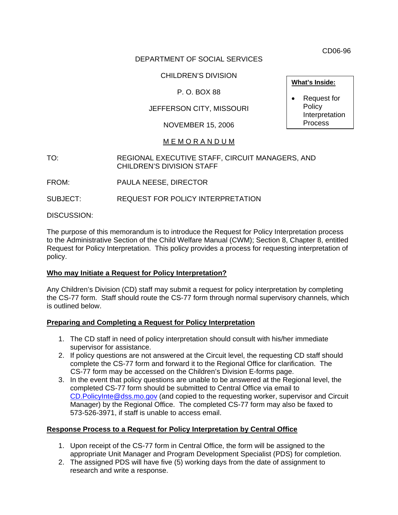CD06-96

## DEPARTMENT OF SOCIAL SERVICES

# CHILDREN'S DIVISION

# P. O. BOX 88

# JEFFERSON CITY, MISSOURI

## NOVEMBER 15, 2006

# M E M O R A N D U M

### TO: REGIONAL EXECUTIVE STAFF, CIRCUIT MANAGERS, AND CHILDREN'S DIVISION STAFF

FROM: PAULA NEESE, DIRECTOR

SUBJECT: REQUEST FOR POLICY INTERPRETATION

DISCUSSION:

The purpose of this memorandum is to introduce the Request for Policy Interpretation process to the Administrative Section of the Child Welfare Manual (CWM); Section 8, Chapter 8, entitled Request for Policy Interpretation. This policy provides a process for requesting interpretation of policy.

### **Who may Initiate a Request for Policy Interpretation?**

Any Children's Division (CD) staff may submit a request for policy interpretation by completing the CS-77 form. Staff should route the CS-77 form through normal supervisory channels, which is outlined below.

### **Preparing and Completing a Request for Policy Interpretation**

- 1. The CD staff in need of policy interpretation should consult with his/her immediate supervisor for assistance.
- 2. If policy questions are not answered at the Circuit level, the requesting CD staff should complete the CS-77 form and forward it to the Regional Office for clarification. The CS-77 form may be accessed on the Children's Division E-forms page.
- 3. In the event that policy questions are unable to be answered at the Regional level, the completed CS-77 form should be submitted to Central Office via email to [CD.PolicyInte@dss.mo.gov](mailto:CD.PolicyInte@dss.mo.gov?subject=Request%20For%20Policy%20Interpretation) (and copied to the requesting worker, supervisor and Circuit Manager) by the Regional Office. The completed CS-77 form may also be faxed to 573-526-3971, if staff is unable to access email.

### **Response Process to a Request for Policy Interpretation by Central Office**

- 1. Upon receipt of the CS-77 form in Central Office, the form will be assigned to the appropriate Unit Manager and Program Development Specialist (PDS) for completion.
- 2. The assigned PDS will have five (5) working days from the date of assignment to research and write a response.

## **What's Inside:**

• Request for **Policy** Interpretation Process